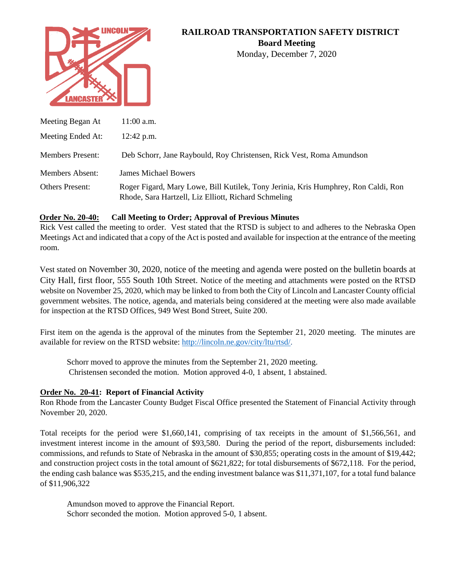

# **RAILROAD TRANSPORTATION SAFETY DISTRICT Board Meeting**

Monday, December 7, 2020

| Meeting Began At        | $11:00$ a.m.                                                                                                                               |
|-------------------------|--------------------------------------------------------------------------------------------------------------------------------------------|
| Meeting Ended At:       | $12:42$ p.m.                                                                                                                               |
| <b>Members Present:</b> | Deb Schorr, Jane Raybould, Roy Christensen, Rick Vest, Roma Amundson                                                                       |
| <b>Members Absent:</b>  | <b>James Michael Bowers</b>                                                                                                                |
| Others Present:         | Roger Figard, Mary Lowe, Bill Kutilek, Tony Jerinia, Kris Humphrey, Ron Caldi, Ron<br>Rhode, Sara Hartzell, Liz Elliott, Richard Schmeling |

### **Order No. 20-40: Call Meeting to Order; Approval of Previous Minutes**

Rick Vest called the meeting to order. Vest stated that the RTSD is subject to and adheres to the Nebraska Open Meetings Act and indicated that a copy of the Act is posted and available for inspection at the entrance of the meeting room.

Vest stated on November 30, 2020, notice of the meeting and agenda were posted on the bulletin boards at City Hall, first floor, 555 South 10th Street. Notice of the meeting and attachments were posted on the RTSD website on November 25, 2020, which may be linked to from both the City of Lincoln and Lancaster County official government websites. The notice, agenda, and materials being considered at the meeting were also made available for inspection at the RTSD Offices, 949 West Bond Street, Suite 200.

First item on the agenda is the approval of the minutes from the September 21, 2020 meeting. The minutes are available for review on the RTSD website: [http://lincoln.ne.gov/city/ltu/rtsd/.](http://lincoln.ne.gov/city/pworks/rtsd/)

Schorr moved to approve the minutes from the September 21, 2020 meeting. Christensen seconded the motion. Motion approved 4-0, 1 absent, 1 abstained.

# **Order No. 20-41: Report of Financial Activity**

Ron Rhode from the Lancaster County Budget Fiscal Office presented the Statement of Financial Activity through November 20, 2020.

Total receipts for the period were \$1,660,141, comprising of tax receipts in the amount of \$1,566,561, and investment interest income in the amount of \$93,580. During the period of the report, disbursements included: commissions, and refunds to State of Nebraska in the amount of \$30,855; operating costs in the amount of \$19,442; and construction project costs in the total amount of \$621,822; for total disbursements of \$672,118. For the period, the ending cash balance was \$535,215, and the ending investment balance was \$11,371,107, for a total fund balance of \$11,906,322

Amundson moved to approve the Financial Report. Schorr seconded the motion. Motion approved 5-0, 1 absent.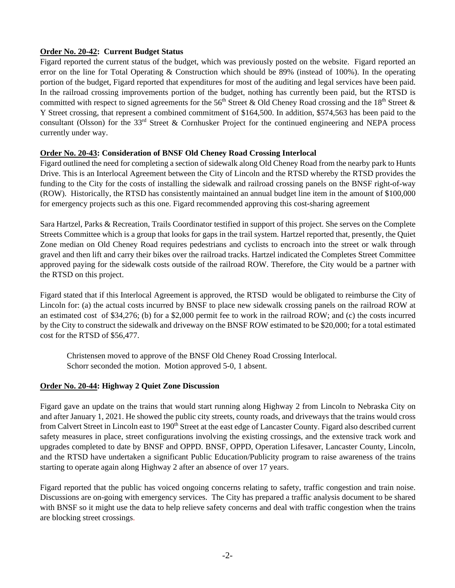### **Order No. 20-42: Current Budget Status**

Figard reported the current status of the budget, which was previously posted on the website. Figard reported an error on the line for Total Operating & Construction which should be 89% (instead of 100%). In the operating portion of the budget, Figard reported that expenditures for most of the auditing and legal services have been paid. In the railroad crossing improvements portion of the budget, nothing has currently been paid, but the RTSD is committed with respect to signed agreements for the 56<sup>th</sup> Street & Old Cheney Road crossing and the 18<sup>th</sup> Street & Y Street crossing, that represent a combined commitment of \$164,500. In addition, \$574,563 has been paid to the consultant (Olsson) for the 33<sup>rd</sup> Street & Cornhusker Project for the continued engineering and NEPA process currently under way.

# **Order No. 20-43: Consideration of BNSF Old Cheney Road Crossing Interlocal**

Figard outlined the need for completing a section of sidewalk along Old Cheney Road from the nearby park to Hunts Drive. This is an Interlocal Agreement between the City of Lincoln and the RTSD whereby the RTSD provides the funding to the City for the costs of installing the sidewalk and railroad crossing panels on the BNSF right-of-way (ROW). Historically, the RTSD has consistently maintained an annual budget line item in the amount of \$100,000 for emergency projects such as this one. Figard recommended approving this cost-sharing agreement

Sara Hartzel, Parks & Recreation, Trails Coordinator testified in support of this project. She serves on the Complete Streets Committee which is a group that looks for gaps in the trail system. Hartzel reported that, presently, the Quiet Zone median on Old Cheney Road requires pedestrians and cyclists to encroach into the street or walk through gravel and then lift and carry their bikes over the railroad tracks. Hartzel indicated the Completes Street Committee approved paying for the sidewalk costs outside of the railroad ROW. Therefore, the City would be a partner with the RTSD on this project.

Figard stated that if this Interlocal Agreement is approved, the RTSD would be obligated to reimburse the City of Lincoln for: (a) the actual costs incurred by BNSF to place new sidewalk crossing panels on the railroad ROW at an estimated cost of \$34,276; (b) for a \$2,000 permit fee to work in the railroad ROW; and (c) the costs incurred by the City to construct the sidewalk and driveway on the BNSF ROW estimated to be \$20,000; for a total estimated cost for the RTSD of \$56,477.

Christensen moved to approve of the BNSF Old Cheney Road Crossing Interlocal. Schorr seconded the motion. Motion approved 5-0, 1 absent.

#### **Order No. 20-44: Highway 2 Quiet Zone Discussion**

Figard gave an update on the trains that would start running along Highway 2 from Lincoln to Nebraska City on and after January 1, 2021. He showed the public city streets, county roads, and driveways that the trains would cross from Calvert Street in Lincoln east to 190<sup>th</sup> Street at the east edge of Lancaster County. Figard also described current safety measures in place, street configurations involving the existing crossings, and the extensive track work and upgrades completed to date by BNSF and OPPD. BNSF, OPPD, Operation Lifesaver, Lancaster County, Lincoln, and the RTSD have undertaken a significant Public Education/Publicity program to raise awareness of the trains starting to operate again along Highway 2 after an absence of over 17 years.

Figard reported that the public has voiced ongoing concerns relating to safety, traffic congestion and train noise. Discussions are on-going with emergency services. The City has prepared a traffic analysis document to be shared with BNSF so it might use the data to help relieve safety concerns and deal with traffic congestion when the trains are blocking street crossings.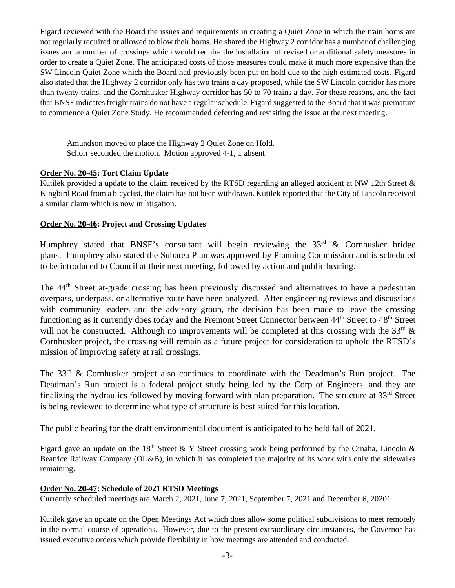Figard reviewed with the Board the issues and requirements in creating a Quiet Zone in which the train horns are not regularly required or allowed to blow their horns. He shared the Highway 2 corridor has a number of challenging issues and a number of crossings which would require the installation of revised or additional safety measures in order to create a Quiet Zone. The anticipated costs of those measures could make it much more expensive than the SW Lincoln Quiet Zone which the Board had previously been put on hold due to the high estimated costs. Figard also stated that the Highway 2 corridor only has two trains a day proposed, while the SW Lincoln corridor has more than twenty trains, and the Cornhusker Highway corridor has 50 to 70 trains a day. For these reasons, and the fact that BNSF indicates freight trains do not have a regular schedule, Figard suggested to the Board that it was premature to commence a Quiet Zone Study. He recommended deferring and revisiting the issue at the next meeting.

Amundson moved to place the Highway 2 Quiet Zone on Hold. Schorr seconded the motion. Motion approved 4-1, 1 absent

# **Order No. 20-45: Tort Claim Update**

Kutilek provided a update to the claim received by the RTSD regarding an alleged accident at NW 12th Street & Kingbird Road from a bicyclist, the claim has not been withdrawn. Kutilek reported that the City of Lincoln received a similar claim which is now in litigation.

### **Order No. 20-46: Project and Crossing Updates**

Humphrey stated that BNSF's consultant will begin reviewing the  $33<sup>rd</sup>$  & Cornhusker bridge plans. Humphrey also stated the Subarea Plan was approved by Planning Commission and is scheduled to be introduced to Council at their next meeting, followed by action and public hearing.

The 44th Street at-grade crossing has been previously discussed and alternatives to have a pedestrian overpass, underpass, or alternative route have been analyzed. After engineering reviews and discussions with community leaders and the advisory group, the decision has been made to leave the crossing functioning as it currently does today and the Fremont Street Connector between 44<sup>th</sup> Street to 48<sup>th</sup> Street will not be constructed. Although no improvements will be completed at this crossing with the 33<sup>rd</sup>  $\&$ Cornhusker project, the crossing will remain as a future project for consideration to uphold the RTSD's mission of improving safety at rail crossings.

The  $33<sup>rd</sup>$  & Cornhusker project also continues to coordinate with the Deadman's Run project. The Deadman's Run project is a federal project study being led by the Corp of Engineers, and they are finalizing the hydraulics followed by moving forward with plan preparation. The structure at 33rd Street is being reviewed to determine what type of structure is best suited for this location.

The public hearing for the draft environmental document is anticipated to be held fall of 2021.

Figard gave an update on the 18<sup>th</sup> Street & Y Street crossing work being performed by the Omaha, Lincoln & Beatrice Railway Company (OL&B), in which it has completed the majority of its work with only the sidewalks remaining.

# **Order No. 20-47: Schedule of 2021 RTSD Meetings**

Currently scheduled meetings are March 2, 2021, June 7, 2021, September 7, 2021 and December 6, 20201

Kutilek gave an update on the Open Meetings Act which does allow some political subdivisions to meet remotely in the normal course of operations. However, due to the present extraordinary circumstances, the Governor has issued executive orders which provide flexibility in how meetings are attended and conducted.